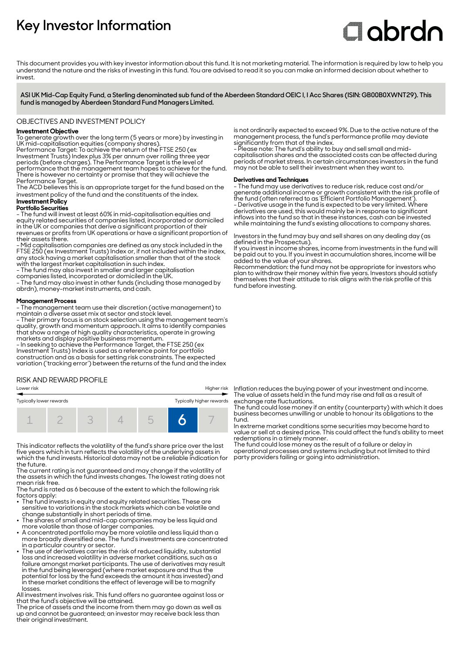# **Key Investor Information**

# **Clobrdn**

This document provides you with key investor information about this fund. It is not marketing material. The information is required by law to help you understand the nature and the risks of investing in this fund. You are advised to read it so you can make an informed decision about whether to invest

**ASI UK Mid-Cap Equity Fund, a Sterling denominated sub fund of the Aberdeen Standard OEIC I, I Acc Shares (ISIN: GB00B0XWNT29). This fund is managed by Aberdeen Standard Fund Managers Limited.**

# OBJECTIVES AND INVESTMENT POLICY

# **Investment Objective**

To generate growth over the long term (5 years or more) by investing in UK mid-capitalisation equities (company shares).

Performance Target: To achieve the return of the FTSE 250 (ex Investment Trusts) Index plus 3% per annum over rolling three year periods (before charges). The Performance Target is the level of performance that the management team hopes to achieve for the fund. There is however no certainty or promise that they will achieve the Performance Target.

The ACD believes this is an appropriate target for the fund based on the investment policy of the fund and the constituents of the index.

# **Investment Policy**

**Portfolio Securities**

- The fund will invest at least 60% in mid-capitalisation equities and equity related securities of companies listed, incorporated or domiciled in the UK or companies that derive a significant proportion of their revenues or profits from UK operations or have a significant proportion of their assets there.

- Mid capitalisation companies are defined as any stock included in the FTSE 250 (ex Investment Trusts) Index or, if not included within the index, any stock having a market capitalisation smaller than that of the stock with the largest market capitalisation in such index.

- The fund may also invest in smaller and larger capitalisation

companies listed, incorporated or domiciled in the UK.

- The fund may also invest in other funds (including those managed by abrdn), money-market instruments, and cash.

#### **Management Process**

- The management team use their discretion (active management) to maintain a diverse asset mix at sector and stock level.

- Their primary focus is on stock selection using the management team's quality, growth and momentum approach. It aims to identify companies that show a range of high quality characteristics, operate in growing markets and display positive business momentum.

- In seeking to achieve the Performance Target, the FTSE 250 (ex Investment Trusts) Index is used as a reference point for portfolio construction and as a basis for setting risk constraints. The expected variation ('tracking error') between the returns of the fund and the index

### RISK AND REWARD PROFILE

#### Lower risk Higher risk

| Typically higher rewards<br>Typically lower rewards |  |  |  |  |  |  |  |
|-----------------------------------------------------|--|--|--|--|--|--|--|
|                                                     |  |  |  |  |  |  |  |

This indicator reflects the volatility of the fund's share price over the last five years which in turn reflects the volatility of the underlying assets in which the fund invests. Historical data may not be a reliable indication for the future.

The current rating is not guaranteed and may change if the volatility of the assets in which the fund invests changes. The lowest rating does not mean risk free.

The fund is rated as 6 because of the extent to which the following risk factors apply:

- The fund invests in equity and equity related securities. These are sensitive to variations in the stock markets which can be volatile and change substantially in short periods of time.
- The shares of small and mid-cap companies may be less liquid and
- more volatile than those of larger companies. 2 A concentrated portfolio may be more volatile and less liquid than a more broadly diversified one. The fund's investments are concentrated in a particular country or sector.
- The use of derivatives carries the risk of reduced liquidity, substantial loss and increased volatility in adverse market conditions, such as a failure amongst market participants. The use of derivatives may result in the fund being leveraged (where market exposure and thus the potential for loss by the fund exceeds the amount it has invested) and in these market conditions the effect of leverage will be to magnify losses.

All investment involves risk. This fund offers no guarantee against loss or that the fund's objective will be attained.

The price of assets and the income from them may go down as well as up and cannot be guaranteed; an investor may receive back less than their original investment.

is not ordinarily expected to exceed 9%. Due to the active nature of the management process, the fund's performance profile may deviate significantly from that of the index.

- Please note: The fund's ability to buy and sell small and midcapitalisation shares and the associated costs can be affected during periods of market stress. In certain circumstances investors in the fund may not be able to sell their investment when they want to.

#### **Derivatives and Techniques**

- The fund may use derivatives to reduce risk, reduce cost and/or generate additional income or growth consistent with the risk profile of the fund (often referred to as 'Efficient Portfolio Management'). - Derivative usage in the fund is expected to be very limited. Where derivatives are used, this would mainly be in response to significant inflows into the fund so that in these instances, cash can be invested while maintaining the fund's existing allocations to company shares.

Investors in the fund may buy and sell shares on any dealing day (as defined in the Prospectus).

If you invest in income shares, income from investments in the fund will be paid out to you. If you invest in accumulation shares, income will be added to the value of your shares.

Recommendation: the fund may not be appropriate for investors who plan to withdraw their money within five years. Investors should satisfy themselves that their attitude to risk aligns with the risk profile of this fund before investing.

Inflation reduces the buying power of your investment and income. The value of assets held in the fund may rise and fall as a result of exchange rate fluctuations.

The fund could lose money if an entity (counterparty) with which it does business becomes unwilling or unable to honour its obligations to the fund.

In extreme market conditions some securities may become hard to value or sell at a desired price. This could affect the fund's ability to meet redemptions in a timely manner.

The fund could lose money as the result of a failure or delay in operational processes and systems including but not limited to third party providers failing or going into administration.